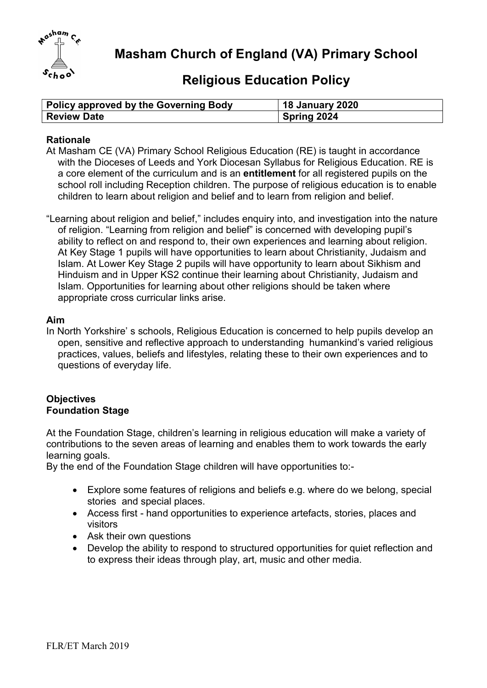

Masham Church of England (VA) Primary School

# Religious Education Policy

| Policy approved by the Governing Body | <b>18 January 2020</b> |
|---------------------------------------|------------------------|
| Review Date                           | Spring 2024            |

### **Rationale**

- At Masham CE (VA) Primary School Religious Education (RE) is taught in accordance with the Dioceses of Leeds and York Diocesan Syllabus for Religious Education. RE is a core element of the curriculum and is an entitlement for all registered pupils on the school roll including Reception children. The purpose of religious education is to enable children to learn about religion and belief and to learn from religion and belief.
- "Learning about religion and belief," includes enquiry into, and investigation into the nature of religion. "Learning from religion and belief" is concerned with developing pupil's ability to reflect on and respond to, their own experiences and learning about religion. At Key Stage 1 pupils will have opportunities to learn about Christianity, Judaism and Islam. At Lower Key Stage 2 pupils will have opportunity to learn about Sikhism and Hinduism and in Upper KS2 continue their learning about Christianity, Judaism and Islam. Opportunities for learning about other religions should be taken where appropriate cross curricular links arise.

#### Aim

In North Yorkshire' s schools, Religious Education is concerned to help pupils develop an open, sensitive and reflective approach to understanding humankind's varied religious practices, values, beliefs and lifestyles, relating these to their own experiences and to questions of everyday life.

#### **Objectives** Foundation Stage

At the Foundation Stage, children's learning in religious education will make a variety of contributions to the seven areas of learning and enables them to work towards the early learning goals.

By the end of the Foundation Stage children will have opportunities to:-

- Explore some features of religions and beliefs e.g. where do we belong, special stories and special places.
- Access first hand opportunities to experience artefacts, stories, places and visitors
- Ask their own questions
- Develop the ability to respond to structured opportunities for quiet reflection and to express their ideas through play, art, music and other media.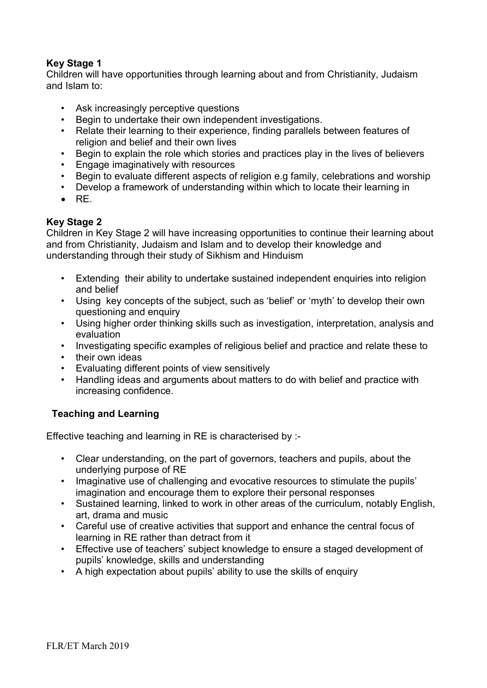# Key Stage 1

Children will have opportunities through learning about and from Christianity, Judaism and Islam to:

- Ask increasingly perceptive questions
- Begin to undertake their own independent investigations.
- Relate their learning to their experience, finding parallels between features of religion and belief and their own lives
- Begin to explain the role which stories and practices play in the lives of believers
- Engage imaginatively with resources
- Begin to evaluate different aspects of religion e.g family, celebrations and worship
- Develop a framework of understanding within which to locate their learning in
- $\bullet$  RF

# Key Stage 2

Children in Key Stage 2 will have increasing opportunities to continue their learning about and from Christianity, Judaism and Islam and to develop their knowledge and understanding through their study of Sikhism and Hinduism

- Extending their ability to undertake sustained independent enquiries into religion and belief
- Using key concepts of the subject, such as 'belief' or 'myth' to develop their own questioning and enquiry
- Using higher order thinking skills such as investigation, interpretation, analysis and evaluation
- Investigating specific examples of religious belief and practice and relate these to
- their own ideas
- Evaluating different points of view sensitively
- Handling ideas and arguments about matters to do with belief and practice with increasing confidence.

# Teaching and Learning

Effective teaching and learning in RE is characterised by :-

- Clear understanding, on the part of governors, teachers and pupils, about the underlying purpose of RE
- Imaginative use of challenging and evocative resources to stimulate the pupils' imagination and encourage them to explore their personal responses
- Sustained learning, linked to work in other areas of the curriculum, notably English, art, drama and music
- Careful use of creative activities that support and enhance the central focus of learning in RE rather than detract from it
- Effective use of teachers' subject knowledge to ensure a staged development of pupils' knowledge, skills and understanding
- A high expectation about pupils' ability to use the skills of enquiry